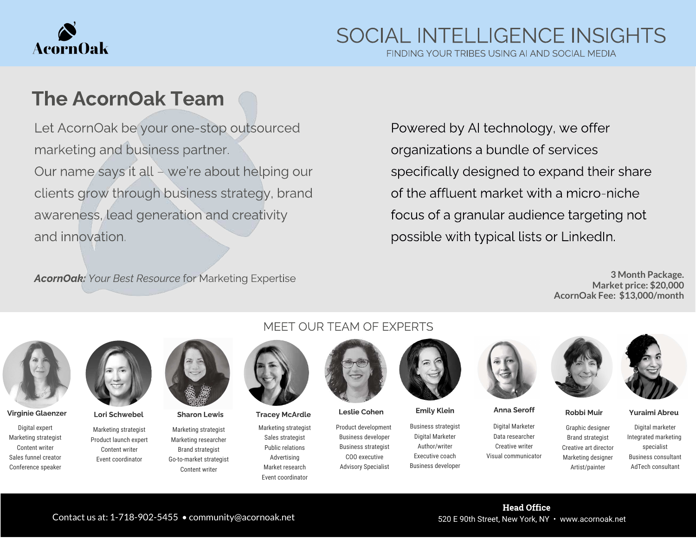

FINDING YOUR TRIBES USING AI AND SOCIAL MEDIA

### The AcornOak Team

Let AcornOak be your one-stop outsourced marketing and business partner. Our name says it all – we're about helping our clients grow through business strategy, brand awareness, lead generation and creativity and innovation.

AcornOak: Your Best Resource for Marketing Expertise

Powered by AI technology, we offer organizations a bundle of services specifically designed to expand their share of the affluent market with a micro-niche focus of a granular audience targeting not possible with typical lists or LinkedIn.

> **3 Month Package. Market price: \$20,000 AcornOak Fee: \$13,000/month**



Virginie Glaenzer Lori Schwebel Sharon Lewis Tracey McArdle Leslie Cohen Emily Klein Anna Seroff Robbi Muir Yuraimi Abreu

Digital expert Marketing strategist Content writer Sales funnel creator Conference speaker



Marketing strategist Product launch expert Content writer Event coordinator

Marketing strategist Marketing researcher Brand strategist Go-to-market strategist Content writer

#### MEET OUR TEAM OF EXPERTS



Marketing strategist Sales strategist Public relations Advertising Market research Event coordinator



Product development Business developer Business strategist COO executive Advisory Specialist



Business strategist Digital Marketer Author/writer Executive coach Business developer



Digital Marketer Data researcher Creative writer Visual communicator





Graphic designer Brand strategist Creative art director Marketing designer Artist/painter

Digital marketer Integrated marketing specialist Business consultant AdTech consultant